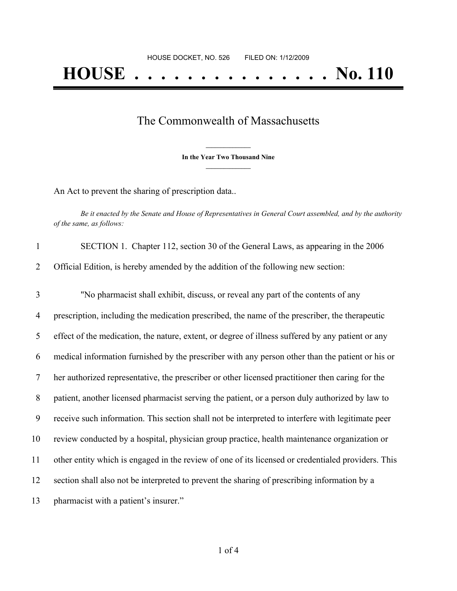## The Commonwealth of Massachusetts

**\_\_\_\_\_\_\_\_\_\_\_\_\_\_\_ In the Year Two Thousand Nine \_\_\_\_\_\_\_\_\_\_\_\_\_\_\_**

An Act to prevent the sharing of prescription data..

Be it enacted by the Senate and House of Representatives in General Court assembled, and by the authority *of the same, as follows:*

| $\mathbf{1}$ | SECTION 1. Chapter 112, section 30 of the General Laws, as appearing in the 2006                   |
|--------------|----------------------------------------------------------------------------------------------------|
| 2            | Official Edition, is hereby amended by the addition of the following new section:                  |
| 3            | "No pharmacist shall exhibit, discuss, or reveal any part of the contents of any                   |
| 4            | prescription, including the medication prescribed, the name of the prescriber, the therapeutic     |
| 5            | effect of the medication, the nature, extent, or degree of illness suffered by any patient or any  |
| 6            | medical information furnished by the prescriber with any person other than the patient or his or   |
| 7            | her authorized representative, the prescriber or other licensed practitioner then caring for the   |
| 8            | patient, another licensed pharmacist serving the patient, or a person duly authorized by law to    |
| 9            | receive such information. This section shall not be interpreted to interfere with legitimate peer  |
| 10           | review conducted by a hospital, physician group practice, health maintenance organization or       |
| 11           | other entity which is engaged in the review of one of its licensed or credentialed providers. This |
| 12           | section shall also not be interpreted to prevent the sharing of prescribing information by a       |
| 13           | pharmacist with a patient's insurer."                                                              |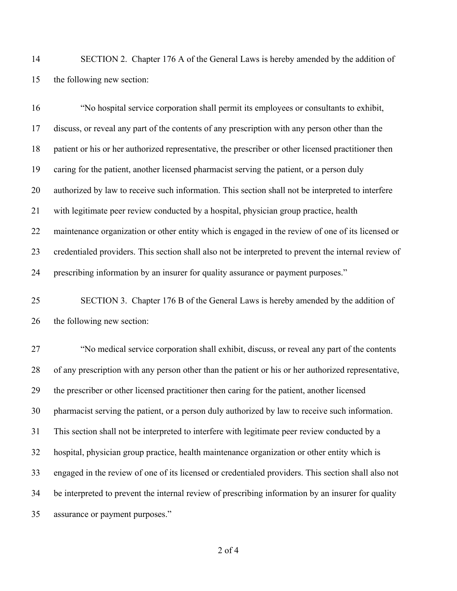SECTION 2. Chapter 176 A of the General Laws is hereby amended by the addition of the following new section:

 "No hospital service corporation shall permit its employees or consultants to exhibit, discuss, or reveal any part of the contents of any prescription with any person other than the patient or his or her authorized representative, the prescriber or other licensed practitioner then caring for the patient, another licensed pharmacist serving the patient, or a person duly authorized by law to receive such information. This section shall not be interpreted to interfere with legitimate peer review conducted by a hospital, physician group practice, health maintenance organization or other entity which is engaged in the review of one of its licensed or credentialed providers. This section shall also not be interpreted to prevent the internal review of prescribing information by an insurer for quality assurance or payment purposes."

 SECTION 3. Chapter 176 B of the General Laws is hereby amended by the addition of the following new section:

 "No medical service corporation shall exhibit, discuss, or reveal any part of the contents of any prescription with any person other than the patient or his or her authorized representative, the prescriber or other licensed practitioner then caring for the patient, another licensed pharmacist serving the patient, or a person duly authorized by law to receive such information. This section shall not be interpreted to interfere with legitimate peer review conducted by a hospital, physician group practice, health maintenance organization or other entity which is engaged in the review of one of its licensed or credentialed providers. This section shall also not be interpreted to prevent the internal review of prescribing information by an insurer for quality assurance or payment purposes."

of 4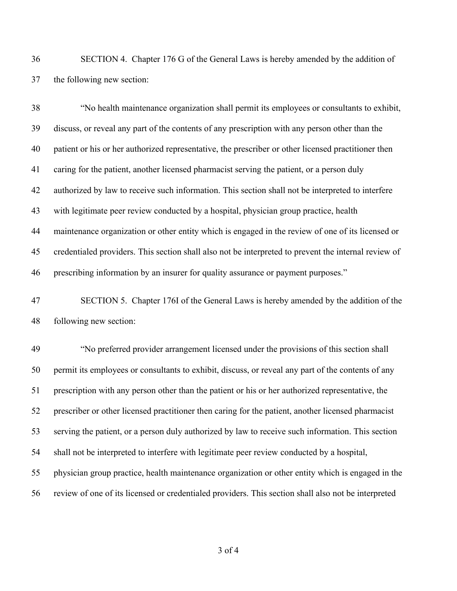SECTION 4. Chapter 176 G of the General Laws is hereby amended by the addition of the following new section:

 "No health maintenance organization shall permit its employees or consultants to exhibit, discuss, or reveal any part of the contents of any prescription with any person other than the patient or his or her authorized representative, the prescriber or other licensed practitioner then caring for the patient, another licensed pharmacist serving the patient, or a person duly authorized by law to receive such information. This section shall not be interpreted to interfere with legitimate peer review conducted by a hospital, physician group practice, health maintenance organization or other entity which is engaged in the review of one of its licensed or credentialed providers. This section shall also not be interpreted to prevent the internal review of prescribing information by an insurer for quality assurance or payment purposes."

 SECTION 5. Chapter 176I of the General Laws is hereby amended by the addition of the following new section:

 "No preferred provider arrangement licensed under the provisions of this section shall permit its employees or consultants to exhibit, discuss, or reveal any part of the contents of any prescription with any person other than the patient or his or her authorized representative, the prescriber or other licensed practitioner then caring for the patient, another licensed pharmacist serving the patient, or a person duly authorized by law to receive such information. This section shall not be interpreted to interfere with legitimate peer review conducted by a hospital, physician group practice, health maintenance organization or other entity which is engaged in the review of one of its licensed or credentialed providers. This section shall also not be interpreted

of 4